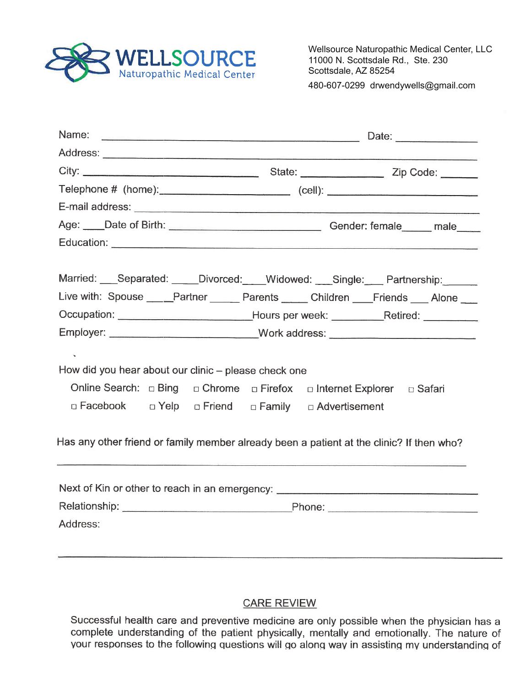

Wellsource Naturopathic Medical Center, LLC 11000 N. Scottsdale Rd., Ste. 230 Scottsdale, AZ 85254 480-607-0299 drwendywells@gmail.com

|                                                      | Age: ____Date of Birth: ___________________________________Gender: female _____ male                                                               |  |  |  |
|------------------------------------------------------|----------------------------------------------------------------------------------------------------------------------------------------------------|--|--|--|
|                                                      |                                                                                                                                                    |  |  |  |
|                                                      | Married: Separated: Divorced: Widowed: Single: Partnership:<br>Live with: Spouse ____Partner _____ Parents _____ Children ___Friends ___ Alone ___ |  |  |  |
|                                                      | Occupation: ______________________________Hours per week: ____________Retired: ________                                                            |  |  |  |
|                                                      | Employer: ______________________________Work address: __________________________                                                                   |  |  |  |
|                                                      |                                                                                                                                                    |  |  |  |
| How did you hear about our clinic – please check one |                                                                                                                                                    |  |  |  |
|                                                      |                                                                                                                                                    |  |  |  |
| □ Facebook □ Yelp □ Friend □ Family □ Advertisement  |                                                                                                                                                    |  |  |  |
|                                                      | Has any other friend or family member already been a patient at the clinic? If then who?                                                           |  |  |  |
|                                                      | Next of Kin or other to reach in an emergency: _________________________________                                                                   |  |  |  |
|                                                      |                                                                                                                                                    |  |  |  |
| Address:                                             |                                                                                                                                                    |  |  |  |
|                                                      |                                                                                                                                                    |  |  |  |
|                                                      |                                                                                                                                                    |  |  |  |

### **CARE REVIEW**

Successful health care and preventive medicine are only possible when the physician has a complete understanding of the patient physically, mentally and emotionally. The nature of your responses to the following questions will go along way in assisting my understanding of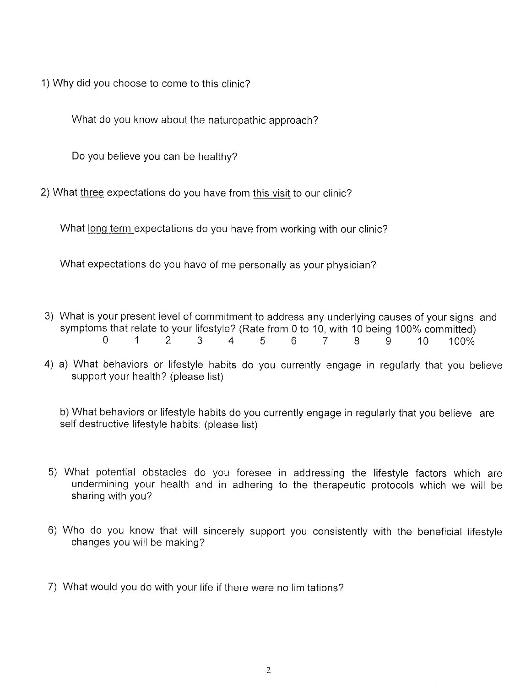1)Why did you choose to come to this clinic?

What do you know about the naturopathic approach?

Do you believe you can be healthy?

2) What three expectations do you have from this visit to our clinic?

What long term expectations do you have from working with our clinic?

What expectations do you have of me personally as your physician?

- 3) What is your present level of commitment to address any underlying causes of your signs and symptoms that relate to your lifestyle? (Rate from 0 to 10, with 10 being 100% committed)<br>0 1 2 3 4 5 6 7 8 9 10 100%
- 4) a) What behaviors or lifestyle habits do you currently engage in regularly that you believe support your health? (please list)

b) What behaviors or lifestyle habits do you currently engage in regularly that you believe are self destructive lifestyle habits: (please list)

- 5) What potential obstacles do you foresee in addressing the lifestyle factors which are undermining your health and in adhering to the therapeutic protocols which we will be sharing with you?
- 6) Who do you know that will sincerely support you consistently with the beneficial lifestyle changes you will be making?
- 7) What would you do with your life if there were no limitations?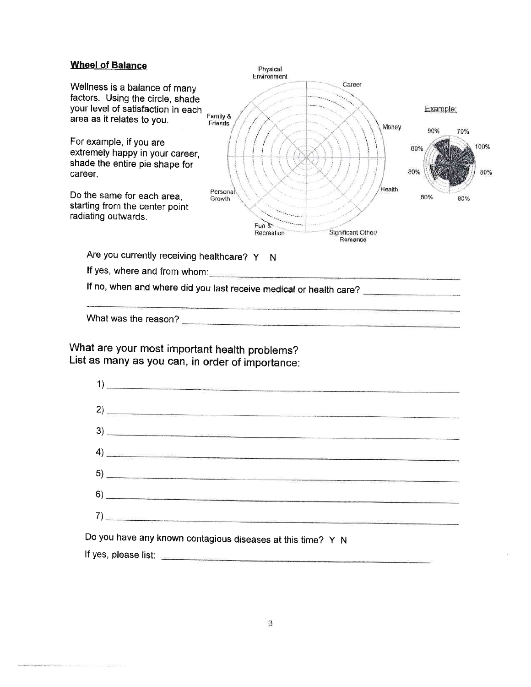#### Wheel of Balance



What are your most important health problems? List as many as you can, in order of impoftance:



Do you have any known contagious diseases at this time? Y N lf yes, please list: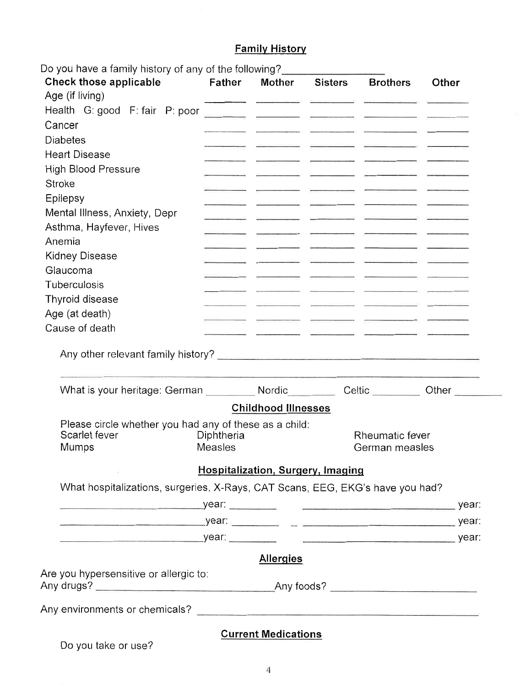## **Family History**

| Do you have a family history of any of the following?<br><b>Check those applicable</b> | <b>Father</b>         | <b>Mother</b>                                                                                 | Sisters | <b>Brothers</b>                   | Other                                                                                                                                                                                                                                |
|----------------------------------------------------------------------------------------|-----------------------|-----------------------------------------------------------------------------------------------|---------|-----------------------------------|--------------------------------------------------------------------------------------------------------------------------------------------------------------------------------------------------------------------------------------|
| Age (if living)                                                                        |                       |                                                                                               |         |                                   |                                                                                                                                                                                                                                      |
|                                                                                        |                       | and the company of the company of the company of the company of the company of the company of |         |                                   |                                                                                                                                                                                                                                      |
| Cancer                                                                                 |                       |                                                                                               |         |                                   |                                                                                                                                                                                                                                      |
| <b>Diabetes</b>                                                                        |                       |                                                                                               |         |                                   |                                                                                                                                                                                                                                      |
| <b>Heart Disease</b>                                                                   |                       |                                                                                               |         |                                   |                                                                                                                                                                                                                                      |
| <b>High Blood Pressure</b>                                                             |                       |                                                                                               |         |                                   |                                                                                                                                                                                                                                      |
| Stroke                                                                                 |                       |                                                                                               |         |                                   |                                                                                                                                                                                                                                      |
| <b>Epilepsy</b>                                                                        |                       |                                                                                               |         |                                   |                                                                                                                                                                                                                                      |
| Mental Illness, Anxiety, Depr                                                          |                       |                                                                                               |         |                                   |                                                                                                                                                                                                                                      |
| Asthma, Hayfever, Hives                                                                |                       |                                                                                               |         |                                   |                                                                                                                                                                                                                                      |
| Anemia                                                                                 |                       |                                                                                               |         |                                   |                                                                                                                                                                                                                                      |
| <b>Kidney Disease</b>                                                                  |                       |                                                                                               |         |                                   |                                                                                                                                                                                                                                      |
| Glaucoma                                                                               |                       |                                                                                               |         |                                   |                                                                                                                                                                                                                                      |
| Tuberculosis                                                                           |                       |                                                                                               |         |                                   |                                                                                                                                                                                                                                      |
| Thyroid disease                                                                        |                       |                                                                                               |         |                                   |                                                                                                                                                                                                                                      |
| Age (at death)                                                                         |                       |                                                                                               |         |                                   |                                                                                                                                                                                                                                      |
| Cause of death                                                                         |                       |                                                                                               |         |                                   |                                                                                                                                                                                                                                      |
|                                                                                        |                       |                                                                                               |         | Celtic ________                   | Other <b>Communist Communist Communist Communist Communist Communist Communist Communist Communist Communist Communist Communist Communist Communist Communist Communist Communist Communist Communist Communist Communist Commu</b> |
|                                                                                        |                       | <b>Childhood Illnesses</b>                                                                    |         |                                   |                                                                                                                                                                                                                                      |
| Please circle whether you had any of these as a child:                                 |                       |                                                                                               |         |                                   |                                                                                                                                                                                                                                      |
| Scarlet fever                                                                          | Diphtheria<br>Measles |                                                                                               |         | Rheumatic fever<br>German measles |                                                                                                                                                                                                                                      |
| Mumps                                                                                  |                       |                                                                                               |         |                                   |                                                                                                                                                                                                                                      |
|                                                                                        |                       |                                                                                               |         |                                   |                                                                                                                                                                                                                                      |
|                                                                                        |                       | <b>Hospitalization, Surgery, Imaging</b>                                                      |         |                                   |                                                                                                                                                                                                                                      |
| What hospitalizations, surgeries, X-Rays, CAT Scans, EEG, EKG's have you had?          |                       |                                                                                               |         |                                   |                                                                                                                                                                                                                                      |
|                                                                                        |                       |                                                                                               |         |                                   |                                                                                                                                                                                                                                      |
|                                                                                        |                       |                                                                                               |         |                                   |                                                                                                                                                                                                                                      |
|                                                                                        |                       |                                                                                               |         |                                   |                                                                                                                                                                                                                                      |
|                                                                                        |                       |                                                                                               |         |                                   |                                                                                                                                                                                                                                      |
|                                                                                        |                       | <b>Allergies</b>                                                                              |         |                                   |                                                                                                                                                                                                                                      |
|                                                                                        |                       |                                                                                               |         |                                   |                                                                                                                                                                                                                                      |
|                                                                                        |                       |                                                                                               |         |                                   |                                                                                                                                                                                                                                      |
|                                                                                        |                       |                                                                                               |         |                                   |                                                                                                                                                                                                                                      |
| Are you hypersensitive or allergic to:                                                 |                       |                                                                                               |         |                                   |                                                                                                                                                                                                                                      |
| Do you take or use?                                                                    |                       | <b>Current Medications</b>                                                                    |         |                                   |                                                                                                                                                                                                                                      |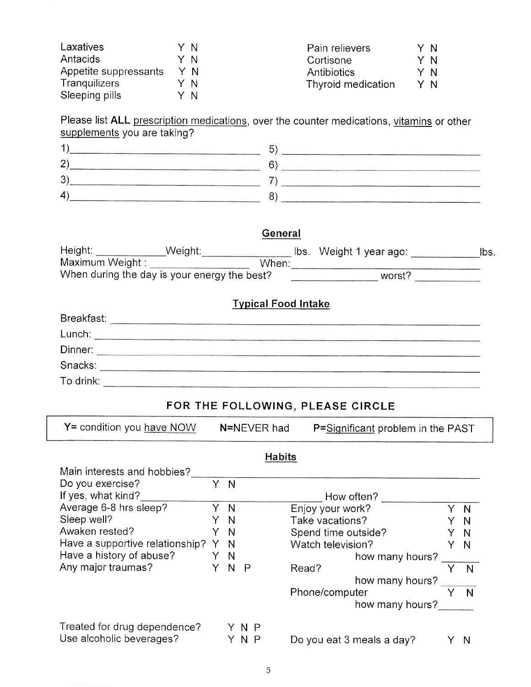| Laxatives             | ΥN  | Pain relievers     | Y N |
|-----------------------|-----|--------------------|-----|
| Antacids              | Y N | Cortisone          | Y N |
| Appetite suppressants | YN  | Antibiotics        | Y N |
| <b>Tranguilizers</b>  | Y N | Thyroid medication | Y N |
| Sleeping pills        | Y N |                    |     |

Please list ALL prescription medications, over the counter medications, vitamins or other supplements you are taking?

| The Common State and Common State and<br>the control of the control of the control of the control of the control of the control of<br><u> 1988 - Andrea San Andrea San Andrea San Andrea San Andrea San Andrea San Andrea San Andrea San Andrea San Andr</u> |                                                                                                                                                                                                                                                             |
|--------------------------------------------------------------------------------------------------------------------------------------------------------------------------------------------------------------------------------------------------------------|-------------------------------------------------------------------------------------------------------------------------------------------------------------------------------------------------------------------------------------------------------------|
| -<br>a Committee of the Committee of the Committee of the Committee of the Committee of the Committee of the Committee of the Committee of the Committee of the Committee of the Committee of the Committee of the Committee of the                          | TAN DIE DIE HEIGENSCHAP DES DIE BEI DIE HEIGENEN BEREICH IN DIE RACHTEN MICH. DER BEREICH DER BEREICH DER BEREICH<br>the control of the control of the control of the control of the control of<br>the contract of the contract of the contract of the con- |
| ◠<br>w                                                                                                                                                                                                                                                       | the company's company's company's company's<br><u> 1980 - De Brasilian Brasilian (h. 1980)</u><br>the contract of the contract of the contract of                                                                                                           |
| 4                                                                                                                                                                                                                                                            | ______                                                                                                                                                                                                                                                      |

#### General

| Height:         | Weight:                                      | lbs. Weight 1 year ago: | lbs. |
|-----------------|----------------------------------------------|-------------------------|------|
| Maximum Weight: | When                                         |                         |      |
|                 | When during the day is your energy the best? | worst?                  |      |

### Tvpical Food lntake

| Breakfast: |  |
|------------|--|
| Lunch:     |  |
| Dinner:    |  |
| Snacks:    |  |
| To drink:  |  |

### FOR THE FOLLOWING, PLEASE CIRCLE

| $Y =$ condition you have NOW | N=NEVER had | P=Significant problem in the PAST |
|------------------------------|-------------|-----------------------------------|

#### **Habits** Main interests and hobbies? Do you exercise? Y N If yes, what kind? $\begin{array}{c|c}\n\text{How often?}\n\end{array}$  How often? Average 6-8 hrs sleep?  $Y \nN$  Enjoy your work?<br>Sleep well?  $Y \nN$  Take vacations? Y N Take vacations? Sleep well? YN Y N<br>Y N Sieep wen :<br>Awaken rested? Y N Spend time outside? Y N<br>Have a supportive relationship? Y N Watch television? Y N Have a supportive relationship? Y N<br>
Have a history of abuse? Y N Watch television?<br>
how many hours? Have a history of abuse? Y N<br>
Any major traumas? Y N P Read? how many hours? Phone/computer how many hours? Y N  $\overline{N}$  $\overline{N}$ Treated for drug dependence? Y N P Treated for anguaperiachte?<br>Use alcoholic beverages?  $Y \cap Y$  Do you eat 3 meals a day? Y N

5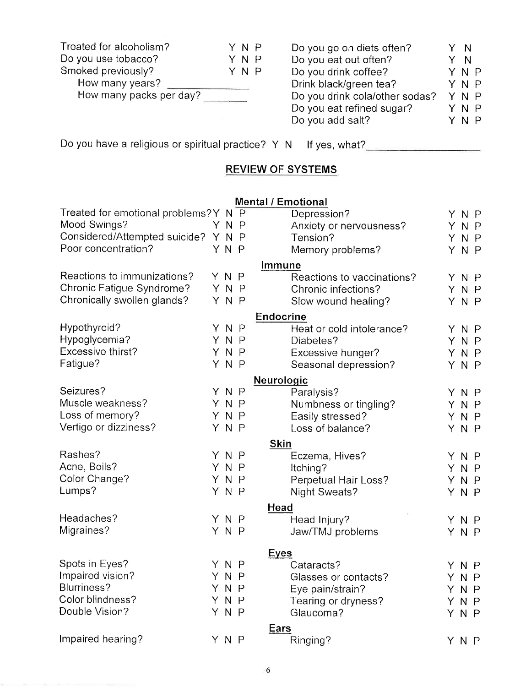| Treated for alcoholism? | YNP | Do you go on diets often?      | Y N |  |
|-------------------------|-----|--------------------------------|-----|--|
| Do you use tobacco?     | YNP | Do you eat out often?          | Y N |  |
| Smoked previously?      | YNP | Do you drink coffee?           | YNP |  |
| How many years?         |     | Drink black/green tea?         | YNP |  |
| How many packs per day? |     | Do you drink cola/other sodas? | YNP |  |
|                         |     | Do you eat refined sugar?      | YNP |  |
|                         |     | Do you add salt?               | ΥΝΡ |  |

Do you have a religious or spiritual practice? Y N lf yes, what?

# REVIEW OF SYSTEMS

#### Mental / Emotional

| Treated for emotional problems? Y N P |     | m<br>Depression?           |    | YNP            |                |
|---------------------------------------|-----|----------------------------|----|----------------|----------------|
| Mood Swings?                          | YNP | Anxiety or nervousness?    | Y. |                | N <sub>P</sub> |
| Considered/Attempted suicide? Y N P   |     | Tension?                   | Y. | N <sub>P</sub> |                |
| Poor concentration?                   | YNP | Memory problems?           |    | YNP            |                |
|                                       |     | Immune                     |    |                |                |
| Reactions to immunizations?           | YNP | Reactions to vaccinations? |    | YNP            |                |
| Chronic Fatigue Syndrome?             | YNP | Chronic infections?        |    | YNP            |                |
| Chronically swollen glands?           | YNP | Slow wound healing?        |    | YNP            |                |
|                                       |     | <b>Endocrine</b>           |    |                |                |
| Hypothyroid?                          | YNP | Heat or cold intolerance?  |    | YNP            |                |
| Hypoglycemia?                         | YNP | Diabetes?                  |    | YNP            |                |
| Excessive thirst?                     | YNP | Excessive hunger?          |    | YNP            |                |
| Fatigue?                              | YNP | Seasonal depression?       |    | YNP            |                |
|                                       |     | Neurologic                 |    |                |                |
| Seizures?                             | YNP | Paralysis?                 | Y. | N <sub>P</sub> |                |
| Muscle weakness?                      | YNP | Numbness or tingling?      | Y. |                | N <sub>P</sub> |
| Loss of memory?                       | YNP | Easily stressed?           |    | YNP            |                |
| Vertigo or dizziness?                 | YNP | Loss of balance?           |    | YNP            |                |
|                                       |     | <b>Skin</b>                |    |                |                |
| Rashes?                               | YNP | Eczema, Hives?             |    | YNP            |                |
| Acne, Boils?                          | YNP | Itching?                   |    | YNP            |                |
| Color Change?                         | YNP | Perpetual Hair Loss?       |    | YNP            |                |
| Lumps?                                | YNP | <b>Night Sweats?</b>       |    | YNP            |                |
|                                       |     | Head                       |    |                |                |
| Headaches?                            | YNP | Head Injury?               |    | YNP            |                |
| Migraines?                            | YNP | Jaw/TMJ problems           |    | YNP            |                |
|                                       |     | <b>Eyes</b>                |    |                |                |
| Spots in Eyes?                        | YNP | Cataracts?                 |    | YNP            |                |
| Impaired vision?                      | YNP | Glasses or contacts?       |    | YNP            |                |
| Blurriness?                           | YNP | Eye pain/strain?           |    | Y N P          |                |
| Color blindness?                      | YNP | Tearing or dryness?        |    | YNP            |                |
| Double Vision?                        | YNP | Glaucoma?                  |    | YNP            |                |
|                                       |     | <b>Ears</b>                |    |                |                |
| Impaired hearing?                     | ΥΝΡ | Ringing?                   |    | YNP            |                |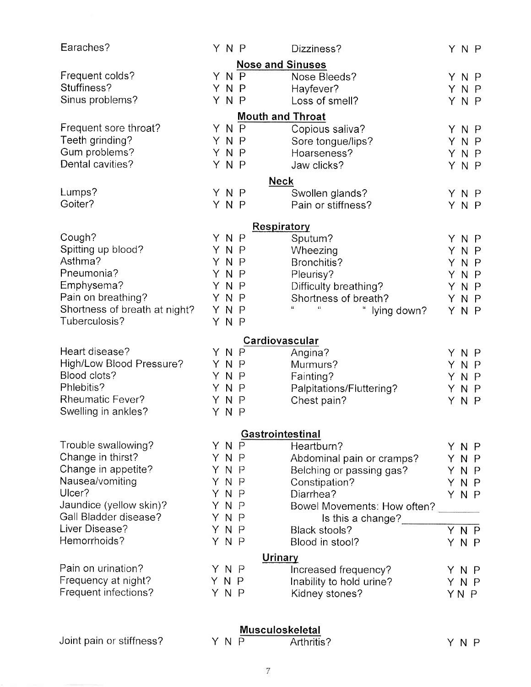| Earaches?                     |     | YNP |              | Dizziness?                                 |    | YNP  |                |
|-------------------------------|-----|-----|--------------|--------------------------------------------|----|------|----------------|
|                               |     |     |              | <b>Nose and Sinuses</b>                    |    |      |                |
| Frequent colds?               |     | YNP |              | Nose Bleeds?                               |    | YNP  |                |
| Stuffiness?                   |     | YNP |              | Hayfever?                                  |    | YNP  |                |
| Sinus problems?               |     | YNP |              | Loss of smell?                             |    | YNP  |                |
|                               |     |     |              | <b>Mouth and Throat</b>                    |    |      |                |
| Frequent sore throat?         |     | ΥN  | $\mathsf{P}$ | Copious saliva?                            |    | YNP  |                |
| Teeth grinding?               |     | YNP |              | Sore tongue/lips?                          |    | YNP  |                |
| Gum problems?                 |     | YNP |              | Hoarseness?                                |    | YNP  |                |
| Dental cavities?              |     | YNP |              | Jaw clicks?                                |    | YNP  |                |
|                               |     |     |              | <b>Neck</b>                                |    |      |                |
| Lumps?                        |     | YNP |              | Swollen glands?                            |    |      | YNP            |
| Goiter?                       |     | YNP |              | Pain or stiffness?                         |    | YNP  |                |
|                               |     |     |              | Respiratory                                |    |      |                |
| Cough?                        |     | YNP |              | Sputum?                                    |    | YNP  |                |
| Spitting up blood?            |     | YN  | $\mathsf{P}$ | Wheezing                                   |    | YNP  |                |
| Asthma?                       |     | YNP |              | Bronchitis?                                |    | YNP  |                |
| Pneumonia?                    |     | YN  | $\mathsf{P}$ | Pleurisy?                                  | Y. |      | N <sub>P</sub> |
| Emphysema?                    |     | ΥN  | $\mathsf{P}$ | Difficulty breathing?                      |    | YNP  |                |
| Pain on breathing?            |     | YN  | $\mathsf{P}$ | Shortness of breath?                       |    | YNP  |                |
| Shortness of breath at night? |     | YN  | $\mathsf{P}$ | $\mathfrak{c}$<br>lying down?              |    | YNP  |                |
| Tuberculosis?                 |     | YNP |              |                                            |    |      |                |
|                               |     |     |              | Cardiovascular                             |    |      |                |
| Heart disease?                |     | YNP |              | Angina?                                    | Y. |      | N <sub>P</sub> |
| High/Low Blood Pressure?      |     | ΥN  | P            | Murmurs?                                   | Y. |      | $N$ $P$        |
| Blood clots?                  |     | YNP |              | Fainting?                                  |    | YNP  |                |
| Phlebitis?                    |     | ΥN  | $\mathsf{P}$ | Palpitations/Fluttering?                   | Y. |      | N <sub>P</sub> |
| <b>Rheumatic Fever?</b>       |     | YN  | $\mathsf{P}$ | Chest pain?                                | Y  |      | N <sub>P</sub> |
| Swelling in ankles?           |     | YNP |              |                                            |    |      |                |
|                               |     |     |              | Gastrointestinal                           |    |      |                |
| Trouble swallowing?           |     | YNP |              | Heartburn?                                 | Y. |      | N P            |
| Change in thirst?             |     | YNP |              | Abdominal pain or cramps?                  | Y. |      | N <sub>P</sub> |
| Change in appetite?           |     | YNP |              | Belching or passing gas?                   |    | YNP  |                |
| Nausea/vomiting               | YN  |     | $\mathsf{P}$ | Constipation?                              |    | YNP  |                |
| Ulcer?                        | YN  |     | $\mathsf{P}$ | Diarrhea?                                  |    | YNP  |                |
| Jaundice (yellow skin)?       |     | YNP |              | Bowel Movements: How often?                |    |      |                |
| Gall Bladder disease?         |     | YNP |              | Is this a change?                          |    |      |                |
| Liver Disease?                |     | YNP |              | Black stools?                              |    |      | YNP            |
| Hemorrhoids?                  |     | YNP |              | Blood in stool?                            |    | YNP  |                |
|                               |     |     |              |                                            |    |      |                |
| Pain on urination?            |     | YNP |              | Urinary                                    |    |      |                |
| Frequency at night?           | YNP |     |              | Increased frequency?                       | Y. |      | N P            |
| Frequent infections?          |     | YNP |              | Inability to hold urine?<br>Kidney stones? | Y. |      | $N$ $P$        |
|                               |     |     |              |                                            |    | YN P |                |

#### <u>Musculoskeleta</u>

| Joint pain or stiffness? | YNP | Arthritis? | YNP |
|--------------------------|-----|------------|-----|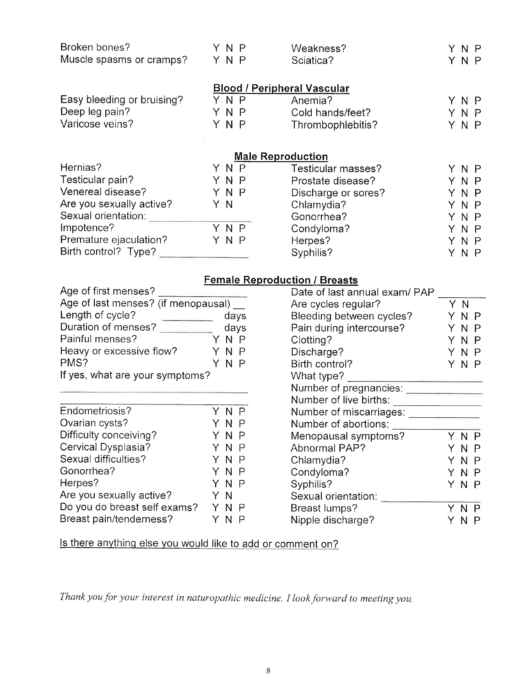| Broken bones?<br>Muscle spasms or cramps? | ΥΝΡ<br>YNP | Weakness?<br>Sciatica?             | N P<br>YNP |
|-------------------------------------------|------------|------------------------------------|------------|
|                                           |            | <b>Blood / Peripheral Vascular</b> |            |
| Easy bleeding or bruising?                | YNP        | Anemia?                            | YNP        |
| Deep leg pain?                            | ΥΝΡ        | Cold hands/feet?                   | N P        |
| Varicose veins?                           | YNP        | Thrombophlebitis?                  | ΥΝΡ        |
|                                           |            | <b>Male Reproduction</b>           |            |
| Hernias?                                  | N.<br>P    | Testicular masses?                 | N P        |

| <b>Male Reproduction</b> |     |                     |     |  |  |
|--------------------------|-----|---------------------|-----|--|--|
| Hernias?                 | YNP | Testicular masses?  | YNP |  |  |
| Testicular pain?         | YNP | Prostate disease?   | YNP |  |  |
| Venereal disease?        | YNP | Discharge or sores? | YNP |  |  |
| Are you sexually active? | ΥN  | Chlamydia?          | YNP |  |  |
| Sexual orientation:      |     | Gonorrhea?          | YNP |  |  |
| Impotence?               | YNP | Condyloma?          | YNP |  |  |
| Premature ejaculation?   | YNP | Herpes?             | YNP |  |  |
| Birth control? Type?     |     | Syphilis?           | YNP |  |  |

### Female Reproduction / Breasts

| Age of first menses?                |      |  |
|-------------------------------------|------|--|
| Age of last menses? (if menopausal) |      |  |
| Length of cycle?                    | days |  |
| Duration of menses?                 | days |  |
| Painful menses?                     | YNP  |  |
| Heavy or excessive flow?            | YNP  |  |
| PMS?                                | YNP  |  |
| If yes, what are your symptoms?     |      |  |

| Endometriosis?               |    | YNP   |  |
|------------------------------|----|-------|--|
| Ovarian cysts?               |    | YNP   |  |
| Difficulty conceiving?       |    | Y N P |  |
| Cervical Dysplasia?          |    | YNP   |  |
| Sexual difficulties?         |    | YNP   |  |
| Gonorrhea?                   |    | YNP   |  |
| Herpes?                      |    | YNP   |  |
| Are you sexually active?     | ΥN |       |  |
| Do you do breast self exams? |    | YNP   |  |
| Breast pain/tenderness?      |    | N     |  |
|                              |    |       |  |

| Date of last annual exam/ PAP |    |     |             |
|-------------------------------|----|-----|-------------|
| Are cycles regular?           | Y  | - N |             |
| Bleeding between cycles?      |    | N   | P           |
| Pain during intercourse?      | Y. | N   | Ρ           |
| Clotting?                     |    | ΥN  | P           |
| Discharge?                    |    | ΥN  | $\mathsf P$ |
| Birth control?                | ΥN |     | P           |
| What type?                    |    |     |             |
| Number of pregnancies:        |    |     |             |
| Number of live births:        |    |     |             |
| Number of miscarriages:       |    |     |             |
| Number of abortions:          |    |     |             |
| Menopausal symptoms?          |    | N   | Р           |
| Abnormal PAP?                 | Y. | N   | Р           |
| Chlamydia?                    |    | ΥN  | Р           |
| Condyloma?                    |    | ΥN  | -P          |
| Syphilis?                     | ΥN |     | P           |
| Sexual orientation:           |    |     |             |
| Breast lumps?                 |    | N   |             |
| Nipple discharge?             |    | N   |             |
|                               |    |     |             |

ls there anythinq else you would like to add or comment on?

Thank you for your interest in naturopathic medicine. I look forward to meeting you.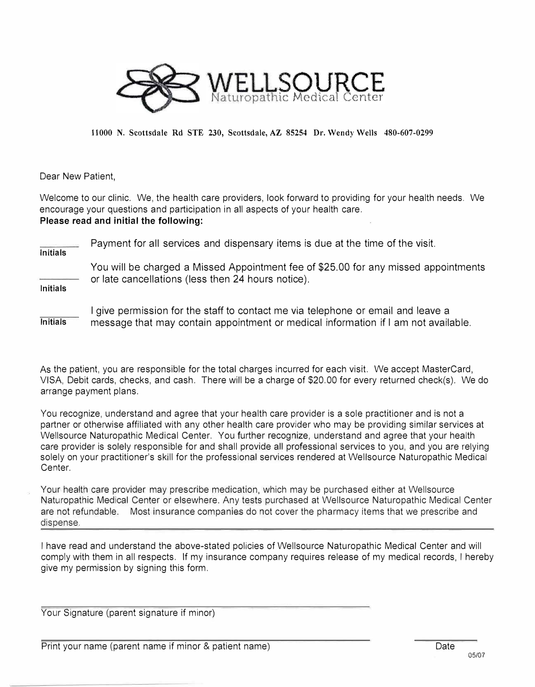

**11000 N. Scottsdale Rd STE 230, Scottsdale, AZ 85254 Dr. Wendy Wells 480-607-0299** 

Dear New Patient,

Welcome to our clinic. We, the health care providers, look forward to providing for your health needs. We encourage your questions and participation in all aspects of your health care. **Please read and initial the following:** 

**Initials**  Payment for all services and dispensary items is due at the time of the visit. **Initials** You will be charged a Missed Appointment fee of \$25.00 for any missed appointments or late cancellations (less then 24 hours notice).

**Initials**  I give permission for the staff to contact me via telephone or email and leave a message that may contain appointment or medical information if I am not available.

As the patient, you are responsible for the total charges incurred for each visit. We accept MasterCard, VISA, Debit cards, checks, and cash. There will be a charge of \$20.00 for every returned check(s). We do arrange payment plans.

You recognize, understand and agree that your health care provider is a sole practitioner and is not a partner or otherwise affiliated with any other health care provider who may be providing similar services at Wellsource Naturopathic Medical Center. You further recognize, understand and agree that your health care provider is solely responsible for and shall provide all professional services to you, and you are relying solely on your practitioner's skill for the professional services rendered at Wellsource Naturopathic Medical Center.

Your health care provider may prescribe medication, which may be purchased either at Wellsource Naturopathic Medical Center or elsewhere. Any tests purchased at Wellsource Naturopathic Medical Center are not refundable. Most insurance companies do not cover the pharmacy items that we prescribe and dispense.

I have read and understand the above-stated policies of Wellsource Naturopathic Medical Center and will comply with them in all respects. If my insurance company requires release of my medical records, I hereby give my permission by signing this form.

Your Signature (parent signature if minor)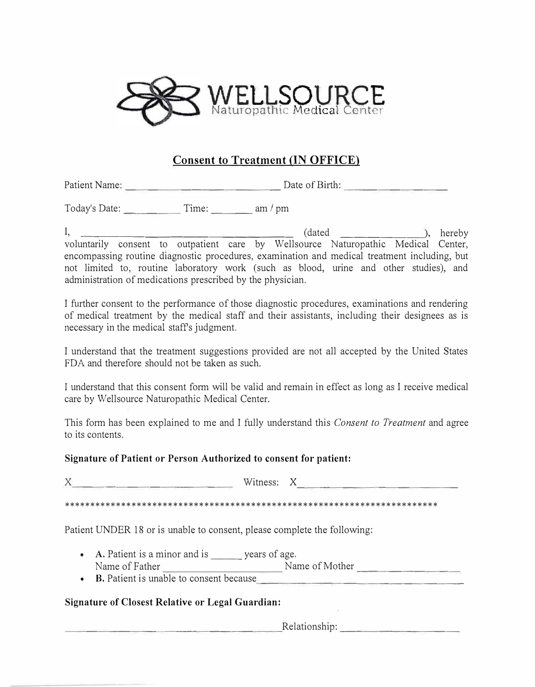

### **Consent to Treatment (IN OFFICE)**

Patient Name: -------------- Date of Birth: ---------

Today's Date: Time:  $\frac{1}{2}$  am/pm

I, \_\_\_\_\_\_\_\_\_\_\_\_\_\_\_\_\_ (dated ------�' hereby voluntarily consent to outpatient care by Wellsource Naturopathic Medical Center, encompassing routine diagnostic procedures, examination and medical treatment including, but not limited to, routine laboratory work (such as blood, urine and other studies), and administration of medications prescribed by the physician.

I further consent to the performance of those diagnostic procedures, examinations and rendering of medical treatment by the medical staff and their assistants, including their designees as is necessary in the medical staffs judgment.

I understand that the treatment suggestions provided are not all accepted by the United States FDA and therefore should not be taken as such.

I understand that this consent form will be valid and remain in effect as long as I receive medical care by Wellsource Naturopathic Medical Center.

This form has been explained to me and I fully understand this *Consent to Treatment* and agree to its contents.

#### **Signature of Patient or Person Authorized to consent for patient:**

X --------------- Witness: X --------------- \*\*\*\*\*\*\*\*\*\*\*\*\*\*\*\*\*\*\*\*\*\*\*\*\*\*\*\*\*\*\*\*\*\*\*\*\*\*\*\*\*\*\*\*\*\*\*\*\*\*\*\*\*\*\*\*\*\*\*\*\*\*\*\*\*\*\*\*\*\*\*\* Patient UNDER 18 or is unable to consent, please complete the following: • A. Patient is a minor and is years of age. Name of Father Name of Mother • B. Patient is unable to consent because --------- -------------------

### **Signature of Closest Relative or Legal Guardian:**

--------------------Relationship: -----------